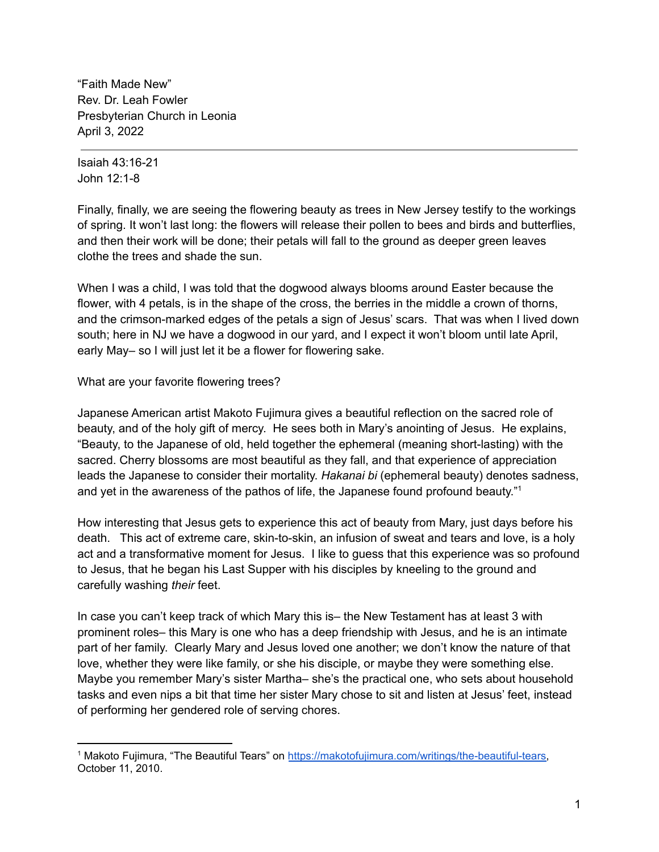"Faith Made New" Rev. Dr. Leah Fowler Presbyterian Church in Leonia April 3, 2022

Isaiah 43:16-21 John 12:1-8

Finally, finally, we are seeing the flowering beauty as trees in New Jersey testify to the workings of spring. It won't last long: the flowers will release their pollen to bees and birds and butterflies, and then their work will be done; their petals will fall to the ground as deeper green leaves clothe the trees and shade the sun.

When I was a child, I was told that the dogwood always blooms around Easter because the flower, with 4 petals, is in the shape of the cross, the berries in the middle a crown of thorns, and the crimson-marked edges of the petals a sign of Jesus' scars. That was when I lived down south; here in NJ we have a dogwood in our yard, and I expect it won't bloom until late April, early May– so I will just let it be a flower for flowering sake.

What are your favorite flowering trees?

Japanese American artist Makoto Fujimura gives a beautiful reflection on the sacred role of beauty, and of the holy gift of mercy. He sees both in Mary's anointing of Jesus. He explains, "Beauty, to the Japanese of old, held together the ephemeral (meaning short-lasting) with the sacred. Cherry blossoms are most beautiful as they fall, and that experience of appreciation leads the Japanese to consider their mortality. *Hakanai bi* (ephemeral beauty) denotes sadness, and yet in the awareness of the pathos of life, the Japanese found profound beauty."<sup>1</sup>

How interesting that Jesus gets to experience this act of beauty from Mary, just days before his death. This act of extreme care, skin-to-skin, an infusion of sweat and tears and love, is a holy act and a transformative moment for Jesus. I like to guess that this experience was so profound to Jesus, that he began his Last Supper with his disciples by kneeling to the ground and carefully washing *their* feet.

In case you can't keep track of which Mary this is– the New Testament has at least 3 with prominent roles– this Mary is one who has a deep friendship with Jesus, and he is an intimate part of her family. Clearly Mary and Jesus loved one another; we don't know the nature of that love, whether they were like family, or she his disciple, or maybe they were something else. Maybe you remember Mary's sister Martha– she's the practical one, who sets about household tasks and even nips a bit that time her sister Mary chose to sit and listen at Jesus' feet, instead of performing her gendered role of serving chores.

<sup>&</sup>lt;sup>1</sup> Makoto Fujimura, "The Beautiful Tears" on [https://makotofujimura.com/writings/the-beautiful-tears,](https://makotofujimura.com/writings/the-beautiful-tears) October 11, 2010.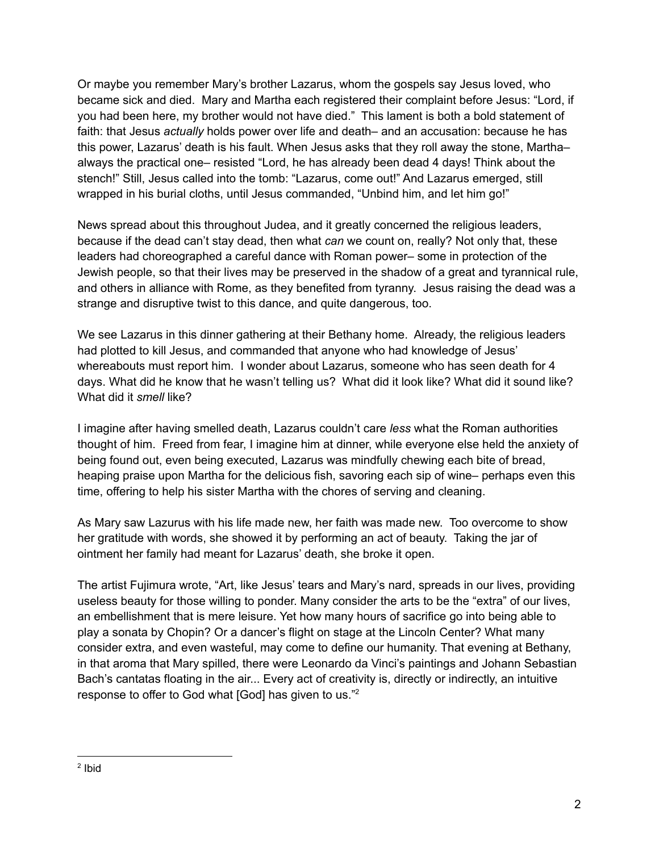Or maybe you remember Mary's brother Lazarus, whom the gospels say Jesus loved, who became sick and died. Mary and Martha each registered their complaint before Jesus: "Lord, if you had been here, my brother would not have died." This lament is both a bold statement of faith: that Jesus *actually* holds power over life and death– and an accusation: because he has this power, Lazarus' death is his fault. When Jesus asks that they roll away the stone, Martha– always the practical one– resisted "Lord, he has already been dead 4 days! Think about the stench!" Still, Jesus called into the tomb: "Lazarus, come out!" And Lazarus emerged, still wrapped in his burial cloths, until Jesus commanded, "Unbind him, and let him go!"

News spread about this throughout Judea, and it greatly concerned the religious leaders, because if the dead can't stay dead, then what *can* we count on, really? Not only that, these leaders had choreographed a careful dance with Roman power– some in protection of the Jewish people, so that their lives may be preserved in the shadow of a great and tyrannical rule, and others in alliance with Rome, as they benefited from tyranny. Jesus raising the dead was a strange and disruptive twist to this dance, and quite dangerous, too.

We see Lazarus in this dinner gathering at their Bethany home. Already, the religious leaders had plotted to kill Jesus, and commanded that anyone who had knowledge of Jesus' whereabouts must report him. I wonder about Lazarus, someone who has seen death for 4 days. What did he know that he wasn't telling us? What did it look like? What did it sound like? What did it *smell* like?

I imagine after having smelled death, Lazarus couldn't care *less* what the Roman authorities thought of him. Freed from fear, I imagine him at dinner, while everyone else held the anxiety of being found out, even being executed, Lazarus was mindfully chewing each bite of bread, heaping praise upon Martha for the delicious fish, savoring each sip of wine– perhaps even this time, offering to help his sister Martha with the chores of serving and cleaning.

As Mary saw Lazurus with his life made new, her faith was made new. Too overcome to show her gratitude with words, she showed it by performing an act of beauty. Taking the jar of ointment her family had meant for Lazarus' death, she broke it open.

The artist Fujimura wrote, "Art, like Jesus' tears and Mary's nard, spreads in our lives, providing useless beauty for those willing to ponder. Many consider the arts to be the "extra" of our lives, an embellishment that is mere leisure. Yet how many hours of sacrifice go into being able to play a sonata by Chopin? Or a dancer's flight on stage at the Lincoln Center? What many consider extra, and even wasteful, may come to define our humanity. That evening at Bethany, in that aroma that Mary spilled, there were Leonardo da Vinci's paintings and Johann Sebastian Bach's cantatas floating in the air... Every act of creativity is, directly or indirectly, an intuitive response to offer to God what [God] has given to us." 2

<sup>2</sup> Ibid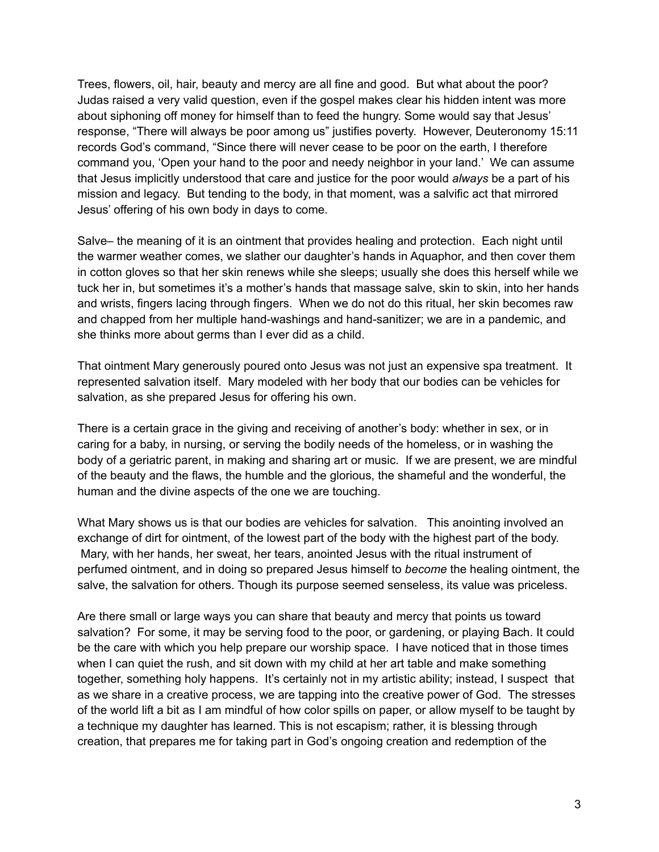Trees, flowers, oil, hair, beauty and mercy are all fine and good. But what about the poor? Judas raised a very valid question, even if the gospel makes clear his hidden intent was more about siphoning off money for himself than to feed the hungry. Some would say that Jesus' response, "There will always be poor among us" justifies poverty. However, Deuteronomy 15:11 records God's command, "Since there will never cease to be poor on the earth, I therefore command you, 'Open your hand to the poor and needy neighbor in your land.' We can assume that Jesus implicitly understood that care and justice for the poor would *always* be a part of his mission and legacy. But tending to the body, in that moment, was a salvific act that mirrored Jesus' offering of his own body in days to come.

Salve– the meaning of it is an ointment that provides healing and protection. Each night until the warmer weather comes, we slather our daughter's hands in Aquaphor, and then cover them in cotton gloves so that her skin renews while she sleeps; usually she does this herself while we tuck her in, but sometimes it's a mother's hands that massage salve, skin to skin, into her hands and wrists, fingers lacing through fingers. When we do not do this ritual, her skin becomes raw and chapped from her multiple hand-washings and hand-sanitizer; we are in a pandemic, and she thinks more about germs than I ever did as a child.

That ointment Mary generously poured onto Jesus was not just an expensive spa treatment. It represented salvation itself. Mary modeled with her body that our bodies can be vehicles for salvation, as she prepared Jesus for offering his own.

There is a certain grace in the giving and receiving of another's body: whether in sex, or in caring for a baby, in nursing, or serving the bodily needs of the homeless, or in washing the body of a geriatric parent, in making and sharing art or music. If we are present, we are mindful of the beauty and the flaws, the humble and the glorious, the shameful and the wonderful, the human and the divine aspects of the one we are touching.

What Mary shows us is that our bodies are vehicles for salvation. This anointing involved an exchange of dirt for ointment, of the lowest part of the body with the highest part of the body. Mary, with her hands, her sweat, her tears, anointed Jesus with the ritual instrument of perfumed ointment, and in doing so prepared Jesus himself to *become* the healing ointment, the salve, the salvation for others. Though its purpose seemed senseless, its value was priceless.

Are there small or large ways you can share that beauty and mercy that points us toward salvation? For some, it may be serving food to the poor, or gardening, or playing Bach. It could be the care with which you help prepare our worship space. I have noticed that in those times when I can quiet the rush, and sit down with my child at her art table and make something together, something holy happens. It's certainly not in my artistic ability; instead, I suspect that as we share in a creative process, we are tapping into the creative power of God. The stresses of the world lift a bit as I am mindful of how color spills on paper, or allow myself to be taught by a technique my daughter has learned. This is not escapism; rather, it is blessing through creation, that prepares me for taking part in God's ongoing creation and redemption of the